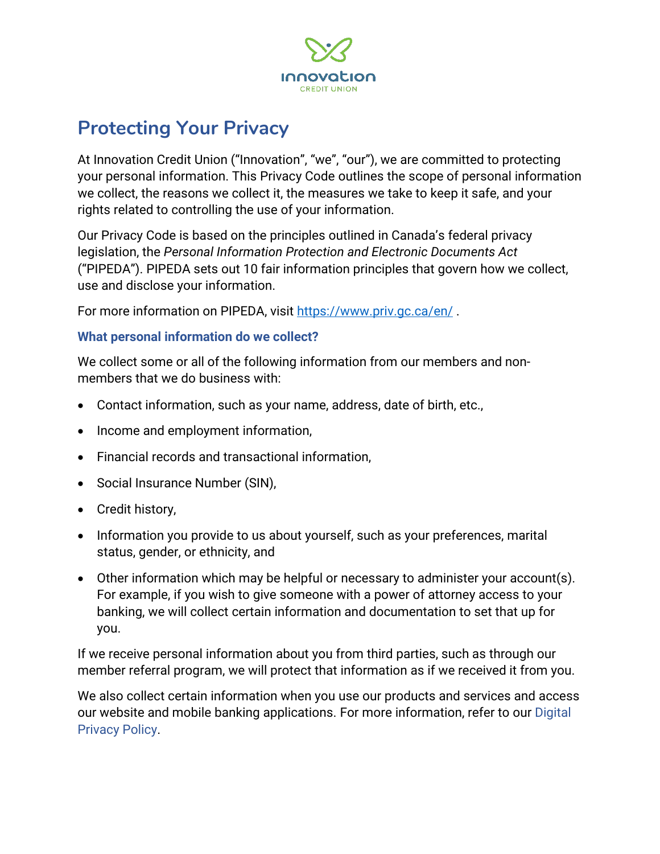

# **Protecting Your Privacy**

At Innovation Credit Union ("Innovation", "we", "our"), we are committed to protecting your personal information. This Privacy Code outlines the scope of personal information we collect, the reasons we collect it, the measures we take to keep it safe, and your rights related to controlling the use of your information.

Our Privacy Code is based on the principles outlined in Canada's federal privacy legislation, the *Personal Information Protection and Electronic Documents Act* ("PIPEDA"). PIPEDA sets out 10 fair information principles that govern how we collect, use and disclose your information.

For more information on PIPEDA, visit<https://www.priv.gc.ca/en/> .

#### **What personal information do we collect?**

We collect some or all of the following information from our members and nonmembers that we do business with:

- Contact information, such as your name, address, date of birth, etc.,
- Income and employment information,
- Financial records and transactional information,
- Social Insurance Number (SIN),
- Credit history,
- Information you provide to us about yourself, such as your preferences, marital status, gender, or ethnicity, and
- Other information which may be helpful or necessary to administer your account(s). For example, if you wish to give someone with a power of attorney access to your banking, we will collect certain information and documentation to set that up for you.

If we receive personal information about you from third parties, such as through our member referral program, we will protect that information as if we received it from you.

We also collect certain information when you use our products and services and access our website and mobile banking applications. For more information, refer to our Digital Privacy Policy.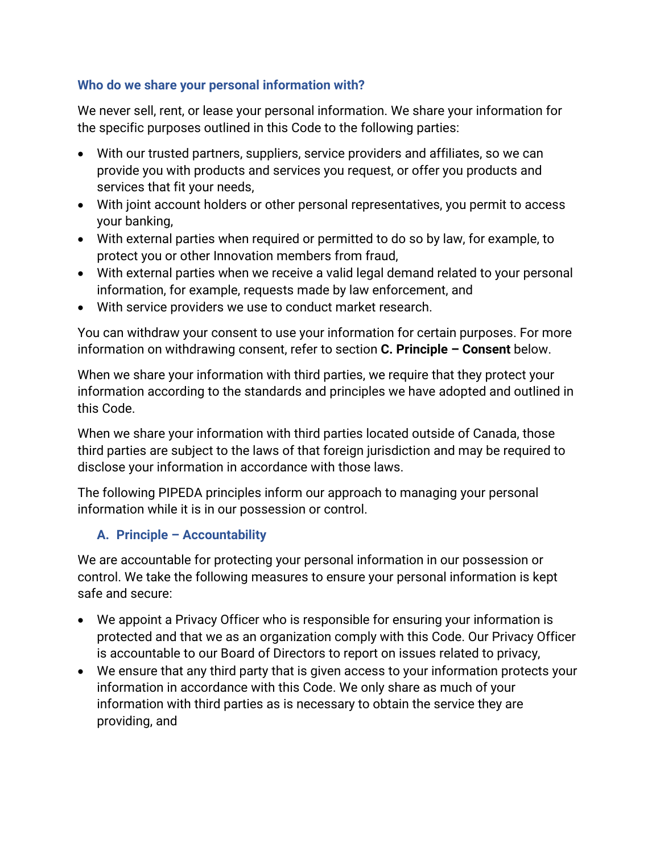## **Who do we share your personal information with?**

We never sell, rent, or lease your personal information. We share your information for the specific purposes outlined in this Code to the following parties:

- With our trusted partners, suppliers, service providers and affiliates, so we can provide you with products and services you request, or offer you products and services that fit your needs,
- With joint account holders or other personal representatives, you permit to access your banking,
- With external parties when required or permitted to do so by law, for example, to protect you or other Innovation members from fraud,
- With external parties when we receive a valid legal demand related to your personal information, for example, requests made by law enforcement, and
- With service providers we use to conduct market research.

You can withdraw your consent to use your information for certain purposes. For more information on withdrawing consent, refer to section **C. Principle – Consent** below.

When we share your information with third parties, we require that they protect your information according to the standards and principles we have adopted and outlined in this Code.

When we share your information with third parties located outside of Canada, those third parties are subject to the laws of that foreign jurisdiction and may be required to disclose your information in accordance with those laws.

The following PIPEDA principles inform our approach to managing your personal information while it is in our possession or control.

## **A. Principle – Accountability**

We are accountable for protecting your personal information in our possession or control. We take the following measures to ensure your personal information is kept safe and secure:

- We appoint a Privacy Officer who is responsible for ensuring your information is protected and that we as an organization comply with this Code. Our Privacy Officer is accountable to our Board of Directors to report on issues related to privacy,
- We ensure that any third party that is given access to your information protects your information in accordance with this Code. We only share as much of your information with third parties as is necessary to obtain the service they are providing, and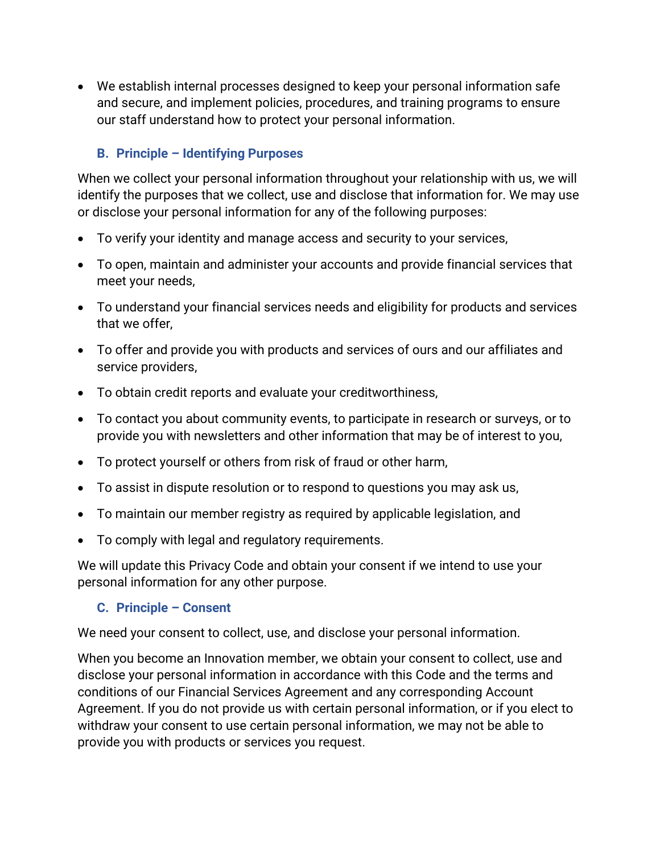• We establish internal processes designed to keep your personal information safe and secure, and implement policies, procedures, and training programs to ensure our staff understand how to protect your personal information.

## **B. Principle – Identifying Purposes**

When we collect your personal information throughout your relationship with us, we will identify the purposes that we collect, use and disclose that information for. We may use or disclose your personal information for any of the following purposes:

- To verify your identity and manage access and security to your services,
- To open, maintain and administer your accounts and provide financial services that meet your needs,
- To understand your financial services needs and eligibility for products and services that we offer,
- To offer and provide you with products and services of ours and our affiliates and service providers,
- To obtain credit reports and evaluate your creditworthiness,
- To contact you about community events, to participate in research or surveys, or to provide you with newsletters and other information that may be of interest to you,
- To protect yourself or others from risk of fraud or other harm,
- To assist in dispute resolution or to respond to questions you may ask us,
- To maintain our member registry as required by applicable legislation, and
- To comply with legal and regulatory requirements.

We will update this Privacy Code and obtain your consent if we intend to use your personal information for any other purpose.

#### **C. Principle – Consent**

We need your consent to collect, use, and disclose your personal information.

When you become an Innovation member, we obtain your consent to collect, use and disclose your personal information in accordance with this Code and the terms and conditions of our Financial Services Agreement and any corresponding Account Agreement. If you do not provide us with certain personal information, or if you elect to withdraw your consent to use certain personal information, we may not be able to provide you with products or services you request.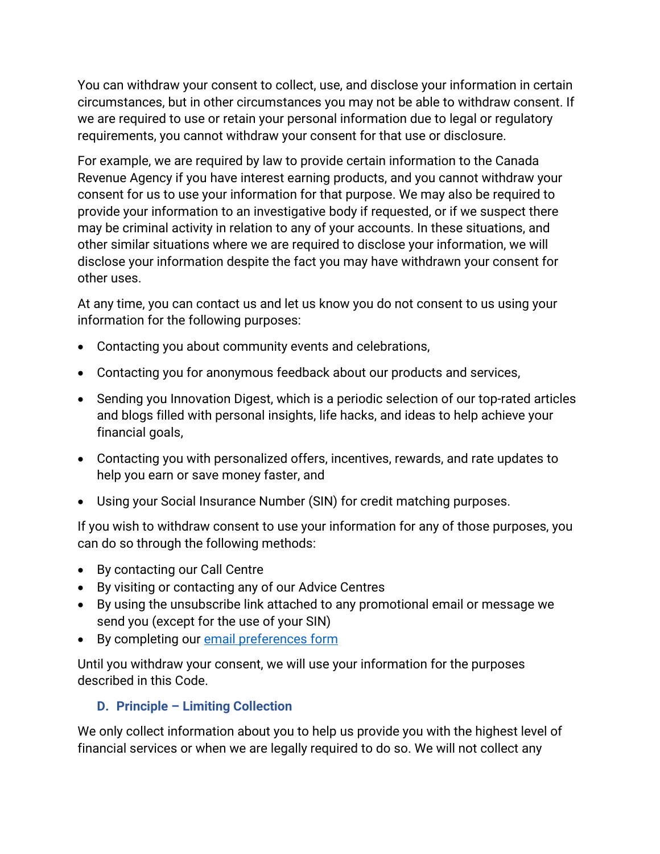You can withdraw your consent to collect, use, and disclose your information in certain circumstances, but in other circumstances you may not be able to withdraw consent. If we are required to use or retain your personal information due to legal or regulatory requirements, you cannot withdraw your consent for that use or disclosure.

For example, we are required by law to provide certain information to the Canada Revenue Agency if you have interest earning products, and you cannot withdraw your consent for us to use your information for that purpose. We may also be required to provide your information to an investigative body if requested, or if we suspect there may be criminal activity in relation to any of your accounts. In these situations, and other similar situations where we are required to disclose your information, we will disclose your information despite the fact you may have withdrawn your consent for other uses.

At any time, you can contact us and let us know you do not consent to us using your information for the following purposes:

- Contacting you about community events and celebrations,
- Contacting you for anonymous feedback about our products and services,
- Sending you Innovation Digest, which is a periodic selection of our top-rated articles and blogs filled with personal insights, life hacks, and ideas to help achieve your financial goals,
- Contacting you with personalized offers, incentives, rewards, and rate updates to help you earn or save money faster, and
- Using your Social Insurance Number (SIN) for credit matching purposes.

If you wish to withdraw consent to use your information for any of those purposes, you can do so through the following methods:

- By contacting our Call Centre
- By visiting or contacting any of our Advice Centres
- By using the unsubscribe link attached to any promotional email or message we send you (except for the use of your SIN)
- By completing our [email preferences form](https://share.hsforms.com/1AYV8mzb5SGqejBctLYm8kgbxjuo)

Until you withdraw your consent, we will use your information for the purposes described in this Code.

## **D. Principle – Limiting Collection**

We only collect information about you to help us provide you with the highest level of financial services or when we are legally required to do so. We will not collect any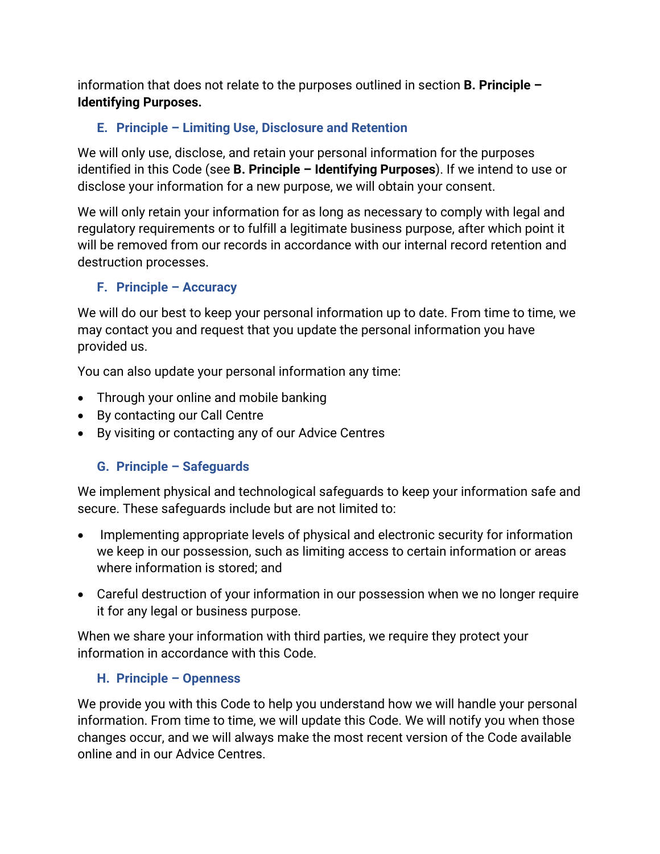information that does not relate to the purposes outlined in section **B. Principle – Identifying Purposes.** 

## **E. Principle – Limiting Use, Disclosure and Retention**

We will only use, disclose, and retain your personal information for the purposes identified in this Code (see **B. Principle – Identifying Purposes**). If we intend to use or disclose your information for a new purpose, we will obtain your consent.

We will only retain your information for as long as necessary to comply with legal and regulatory requirements or to fulfill a legitimate business purpose, after which point it will be removed from our records in accordance with our internal record retention and destruction processes.

## **F. Principle – Accuracy**

We will do our best to keep your personal information up to date. From time to time, we may contact you and request that you update the personal information you have provided us.

You can also update your personal information any time:

- Through your online and mobile banking
- By contacting our Call Centre
- By visiting or contacting any of our Advice Centres

## **G. Principle – Safeguards**

We implement physical and technological safeguards to keep your information safe and secure. These safeguards include but are not limited to:

- Implementing appropriate levels of physical and electronic security for information we keep in our possession, such as limiting access to certain information or areas where information is stored; and
- Careful destruction of your information in our possession when we no longer require it for any legal or business purpose.

When we share your information with third parties, we require they protect your information in accordance with this Code.

#### **H. Principle – Openness**

We provide you with this Code to help you understand how we will handle your personal information. From time to time, we will update this Code. We will notify you when those changes occur, and we will always make the most recent version of the Code available online and in our Advice Centres.